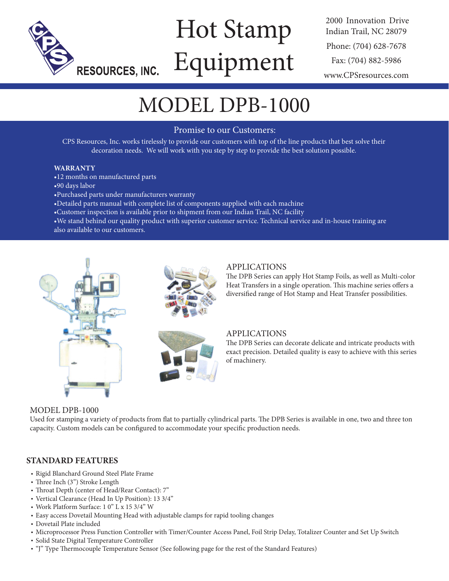

# Hot Stamp Equipment

2000 Innovation Drive Indian Trail, NC 28079 Phone: (704) 628-7678 Fax: (704) 882-5986 www.CPSresources.com

## MODEL DPB-1000

#### Promise to our Customers:

CPS Resources, Inc. works tirelessly to provide our customers with top of the line products that best solve their decoration needs. We will work with you step by step to provide the best solution possible.

#### **WARRANTY**

- •12 months on manufactured parts
- •90 days labor
- •Purchased parts under manufacturers warranty
- •Detailed parts manual with complete list of components supplied with each machine
- •Customer inspection is available prior to shipment from our Indian Trail, NC facility
- •We stand behind our quality product with superior customer service. Technical service and in-house training are also available to our customers.





#### APPLICATIONS

The DPB Series can apply Hot Stamp Foils, as well as Multi-color Heat Transfers in a single operation. This machine series offers a diversified range of Hot Stamp and Heat Transfer possibilities.



#### APPLICATIONS

The DPB Series can decorate delicate and intricate products with exact precision. Detailed quality is easy to achieve with this series of machinery.

#### MODEL DPB-1000

Used for stamping a variety of products from flat to partially cylindrical parts. The DPB Series is available in one, two and three ton capacity. Custom models can be configured to accommodate your specific production needs.

#### **STANDARD FEATURES**

- Rigid Blanchard Ground Steel Plate Frame
- Three Inch (3") Stroke Length
- Throat Depth (center of Head/Rear Contact): 7"
- Vertical Clearance (Head In Up Position): 13 3/4"
- Work Platform Surface: 1 0" L x 15 3/4" W
- Easy access Dovetail Mounting Head with adjustable clamps for rapid tooling changes
- Dovetail Plate included
- Microprocessor Press Function Controller with Timer/Counter Access Panel, Foil Strip Delay, Totalizer Counter and Set Up Switch
- Solid State Digital Temperature Controller
- "J" Type Thermocouple Temperature Sensor (See following page for the rest of the Standard Features)